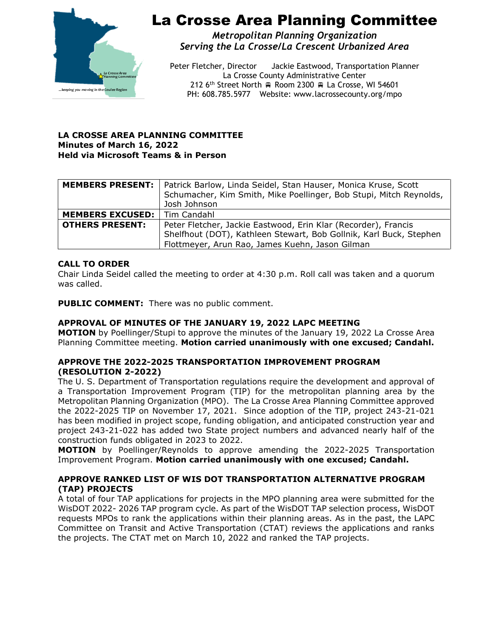

# La Crosse Area Planning Committee

*Metropolitan Planning Organization Serving the La Crosse/La Crescent Urbanized Area*

Peter Fletcher, Director Jackie Eastwood, Transportation Planner La Crosse County Administrative Center 212 6<sup>th</sup> Street North  $\oplus$  Room 2300  $\oplus$  La Crosse, WI 54601 PH: 608.785.5977 Website: www.lacrossecounty.org/mpo

#### **LA CROSSE AREA PLANNING COMMITTEE Minutes of March 16, 2022 Held via Microsoft Teams & in Person**

|                                       | <b>MEMBERS PRESENT:</b>   Patrick Barlow, Linda Seidel, Stan Hauser, Monica Kruse, Scott |
|---------------------------------------|------------------------------------------------------------------------------------------|
|                                       | Schumacher, Kim Smith, Mike Poellinger, Bob Stupi, Mitch Reynolds,                       |
|                                       | Josh Johnson                                                                             |
| <b>MEMBERS EXCUSED:</b>   Tim Candahl |                                                                                          |
| <b>OTHERS PRESENT:</b>                | Peter Fletcher, Jackie Eastwood, Erin Klar (Recorder), Francis                           |
|                                       | Shelfhout (DOT), Kathleen Stewart, Bob Gollnik, Karl Buck, Stephen                       |
|                                       | Flottmeyer, Arun Rao, James Kuehn, Jason Gilman                                          |

### **CALL TO ORDER**

Chair Linda Seidel called the meeting to order at 4:30 p.m. Roll call was taken and a quorum was called.

**PUBLIC COMMENT:** There was no public comment.

#### **APPROVAL OF MINUTES OF THE JANUARY 19, 2022 LAPC MEETING**

**MOTION** by Poellinger/Stupi to approve the minutes of the January 19, 2022 La Crosse Area Planning Committee meeting. **Motion carried unanimously with one excused; Candahl.**

### **APPROVE THE 2022-2025 TRANSPORTATION IMPROVEMENT PROGRAM (RESOLUTION 2-2022)**

The U. S. Department of Transportation regulations require the development and approval of a Transportation Improvement Program (TIP) for the metropolitan planning area by the Metropolitan Planning Organization (MPO). The La Crosse Area Planning Committee approved the 2022-2025 TIP on November 17, 2021. Since adoption of the TIP, project 243-21-021 has been modified in project scope, funding obligation, and anticipated construction year and project 243-21-022 has added two State project numbers and advanced nearly half of the construction funds obligated in 2023 to 2022.

**MOTION** by Poellinger/Reynolds to approve amending the 2022-2025 Transportation Improvement Program. **Motion carried unanimously with one excused; Candahl.**

### **APPROVE RANKED LIST OF WIS DOT TRANSPORTATION ALTERNATIVE PROGRAM (TAP) PROJECTS**

A total of four TAP applications for projects in the MPO planning area were submitted for the WisDOT 2022- 2026 TAP program cycle. As part of the WisDOT TAP selection process, WisDOT requests MPOs to rank the applications within their planning areas. As in the past, the LAPC Committee on Transit and Active Transportation (CTAT) reviews the applications and ranks the projects. The CTAT met on March 10, 2022 and ranked the TAP projects.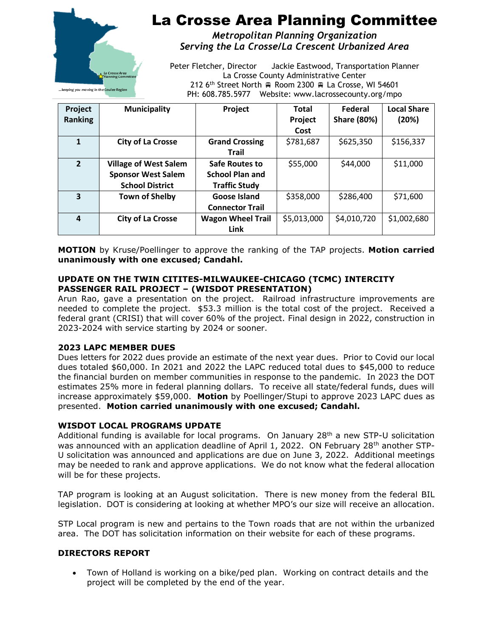

# La Crosse Area Planning Committee

*Metropolitan Planning Organization Serving the La Crosse/La Crescent Urbanized Area*

Peter Fletcher, Director Jackie Eastwood, Transportation Planner La Crosse County Administrative Center 212 6<sup>th</sup> Street North Room 2300 R La Crosse, WI 54601 PH: 608.785.5977 Website: www.lacrossecounty.org/mpo

**Project Ranking Municipality Project Total Project Cost Federal Share (80%) Local Share (20%) 1 City of La Crosse Grand Crossing Trail**  $$781,687$   $$625,350$   $$156,337$ **2 Village of West Salem Sponsor West Salem School District Safe Routes to School Plan and Traffic Study**  $$55,000$   $$44,000$   $$11,000$ **3 Town of Shelby Goose Island Connector Trail**  $$358,000$   $$286,400$  \$71,600 **4 City of La Crosse Wagon Wheel Trail Link**  $$5,013,000$   $$4,010,720$   $$1,002,680$ 

**MOTION** by Kruse/Poellinger to approve the ranking of the TAP projects. **Motion carried unanimously with one excused; Candahl.**

# **UPDATE ON THE TWIN CITITES-MILWAUKEE-CHICAGO (TCMC) INTERCITY PASSENGER RAIL PROJECT – (WISDOT PRESENTATION)**

Arun Rao, gave a presentation on the project. Railroad infrastructure improvements are needed to complete the project. \$53.3 million is the total cost of the project. Received a federal grant (CRISI) that will cover 60% of the project. Final design in 2022, construction in 2023-2024 with service starting by 2024 or sooner.

# **2023 LAPC MEMBER DUES**

Dues letters for 2022 dues provide an estimate of the next year dues. Prior to Covid our local dues totaled \$60,000. In 2021 and 2022 the LAPC reduced total dues to \$45,000 to reduce the financial burden on member communities in response to the pandemic. In 2023 the DOT estimates 25% more in federal planning dollars. To receive all state/federal funds, dues will increase approximately \$59,000. **Motion** by Poellinger/Stupi to approve 2023 LAPC dues as presented. **Motion carried unanimously with one excused; Candahl.**

# **WISDOT LOCAL PROGRAMS UPDATE**

Additional funding is available for local programs. On January 28<sup>th</sup> a new STP-U solicitation was announced with an application deadline of April 1, 2022. ON February 28<sup>th</sup> another STP-U solicitation was announced and applications are due on June 3, 2022. Additional meetings may be needed to rank and approve applications. We do not know what the federal allocation will be for these projects.

TAP program is looking at an August solicitation. There is new money from the federal BIL legislation. DOT is considering at looking at whether MPO's our size will receive an allocation.

STP Local program is new and pertains to the Town roads that are not within the urbanized area. The DOT has solicitation information on their website for each of these programs.

# **DIRECTORS REPORT**

• Town of Holland is working on a bike/ped plan. Working on contract details and the project will be completed by the end of the year.